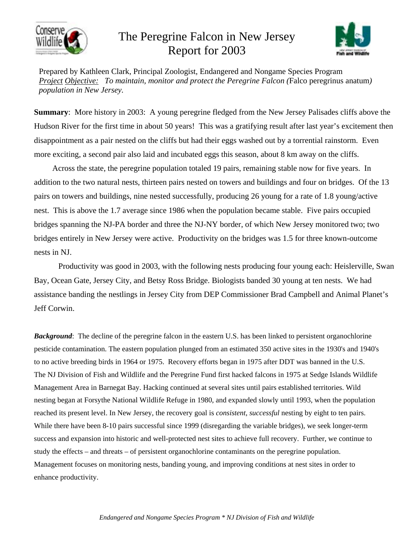

## The Peregrine Falcon in New Jersey Report for 2003



Prepared by Kathleen Clark, Principal Zoologist, Endangered and Nongame Species Program *Project Objective: To maintain, monitor and protect the Peregrine Falcon (*Falco peregrinus anatum*) population in New Jersey.*

**Summary:** More history in 2003: A young peregrine fledged from the New Jersey Palisades cliffs above the Hudson River for the first time in about 50 years! This was a gratifying result after last year's excitement then disappointment as a pair nested on the cliffs but had their eggs washed out by a torrential rainstorm. Even more exciting, a second pair also laid and incubated eggs this season, about 8 km away on the cliffs.

 Across the state, the peregrine population totaled 19 pairs, remaining stable now for five years. In addition to the two natural nests, thirteen pairs nested on towers and buildings and four on bridges. Of the 13 pairs on towers and buildings, nine nested successfully, producing 26 young for a rate of 1.8 young/active nest. This is above the 1.7 average since 1986 when the population became stable. Five pairs occupied bridges spanning the NJ-PA border and three the NJ-NY border, of which New Jersey monitored two; two bridges entirely in New Jersey were active. Productivity on the bridges was 1.5 for three known-outcome nests in NJ.

Productivity was good in 2003, with the following nests producing four young each: Heislerville, Swan Bay, Ocean Gate, Jersey City, and Betsy Ross Bridge. Biologists banded 30 young at ten nests. We had assistance banding the nestlings in Jersey City from DEP Commissioner Brad Campbell and Animal Planet's Jeff Corwin.

*Background*: The decline of the peregrine falcon in the eastern U.S. has been linked to persistent organochlorine pesticide contamination. The eastern population plunged from an estimated 350 active sites in the 1930's and 1940's to no active breeding birds in 1964 or 1975. Recovery efforts began in 1975 after DDT was banned in the U.S. The NJ Division of Fish and Wildlife and the Peregrine Fund first hacked falcons in 1975 at Sedge Islands Wildlife Management Area in Barnegat Bay. Hacking continued at several sites until pairs established territories. Wild nesting began at Forsythe National Wildlife Refuge in 1980, and expanded slowly until 1993, when the population reached its present level. In New Jersey, the recovery goal is *consistent*, *successful* nesting by eight to ten pairs. While there have been 8-10 pairs successful since 1999 (disregarding the variable bridges), we seek longer-term success and expansion into historic and well-protected nest sites to achieve full recovery. Further, we continue to study the effects – and threats – of persistent organochlorine contaminants on the peregrine population. Management focuses on monitoring nests, banding young, and improving conditions at nest sites in order to enhance productivity.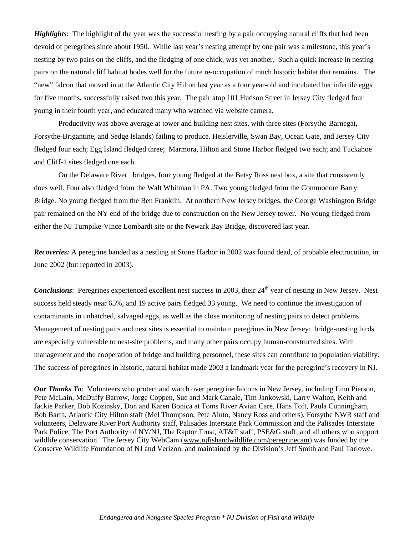*Highlights*: The highlight of the year was the successful nesting by a pair occupying natural cliffs that had been devoid of peregrines since about 1950. While last year's nesting attempt by one pair was a milestone, this year's nesting by two pairs on the cliffs, and the fledging of one chick, was yet another. Such a quick increase in nesting pairs on the natural cliff habitat bodes well for the future re-occupation of much historic habitat that remains. The "new" falcon that moved in at the Atlantic City Hilton last year as a four year-old and incubated her infertile eggs for five months, successfully raised two this year. The pair atop 101 Hudson Street in Jersey City fledged four young in their fourth year, and educated many who watched via website camera.

Productivity was above average at tower and building nest sites, with three sites (Forsythe-Barnegat, Forsythe-Brigantine, and Sedge Islands) failing to produce. Heislerville, Swan Bay, Ocean Gate, and Jersey City fledged four each; Egg Island fledged three; Marmora, Hilton and Stone Harbor fledged two each; and Tuckahoe and Cliff-1 sites fledged one each.

On the Delaware River bridges, four young fledged at the Betsy Ross nest box, a site that consistently does well. Four also fledged from the Walt Whitman in PA. Two young fledged from the Commodore Barry Bridge. No young fledged from the Ben Franklin. At northern New Jersey bridges, the George Washington Bridge pair remained on the NY end of the bridge due to construction on the New Jersey tower. No young fledged from either the NJ Turnpike-Vince Lombardi site or the Newark Bay Bridge, discovered last year.

*Recoveries:* A peregrine banded as a nestling at Stone Harbor in 2002 was found dead, of probable electrocution, in June 2002 (but reported in 2003).

*Conclusions*: Peregrines experienced excellent nest success in 2003, their 24<sup>th</sup> year of nesting in New Jersey. Nest success held steady near 65%, and 19 active pairs fledged 33 young. We need to continue the investigation of contaminants in unhatched, salvaged eggs, as well as the close monitoring of nesting pairs to detect problems. Management of nesting pairs and nest sites is essential to maintain peregrines in New Jersey: bridge-nesting birds are especially vulnerable to nest-site problems, and many other pairs occupy human-constructed sites. With management and the cooperation of bridge and building personnel, these sites can contribute to population viability. The success of peregrines in historic, natural habitat made 2003 a landmark year for the peregrine's recovery in NJ.

*Our Thanks To*: Volunteers who protect and watch over peregrine falcons in New Jersey, including Linn Pierson, Pete McLain, McDuffy Barrow, Jorge Coppen, Sue and Mark Canale, Tim Jankowski, Larry Walton, Keith and Jackie Parker, Bob Kozinsky, Don and Karen Bonica at Toms River Avian Care, Hans Toft, Paula Cunningham, Bob Barth, Atlantic City Hilton staff (Mel Thompson, Pete Aiuto, Nancy Ross and others), Forsythe NWR staff and volunteers, Delaware River Port Authority staff, Palisades Interstate Park Commission and the Palisades Interstate Park Police, The Port Authority of NY/NJ, The Raptor Trust, AT&T staff, PSE&G staff, and all others who support wildlife conservation. The Jersey City WebCam (www.njfishandwildlife.com/peregrinecam) was funded by the Conserve Wildlife Foundation of NJ and Verizon, and maintained by the Division's Jeff Smith and Paul Tarlowe.